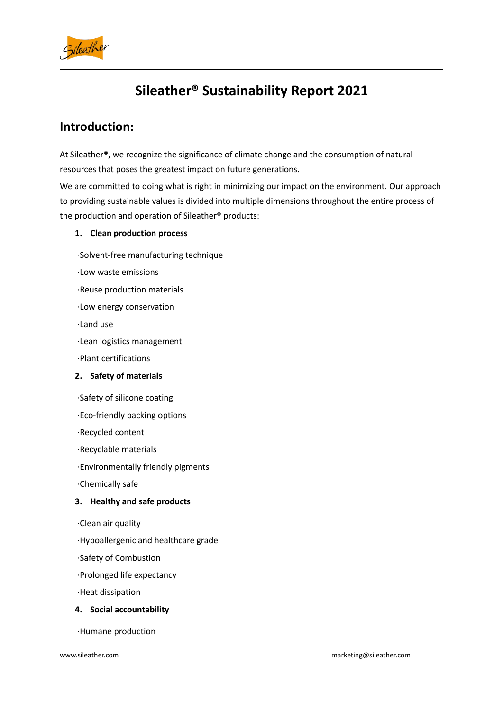

# **Sileather® Sustainability Report 2021**

### **Introduction:**

At Sileather®, we recognize the significance of climate change and the consumption of natural resources that poses the greatest impact on future generations.

We are committed to doing what is right in minimizing our impact on the environment. Our approach to providing sustainable values is divided into multiple dimensions throughout the entire process of the production and operation of Sileather® products:

#### **1. Clean production process**

·Solvent-free manufacturing technique

·Low waste emissions

·Reuse production materials

·Low energy conservation

·Land use

·Lean logistics management

·Plant certifications

### **2. Safety of materials**

·Safety of silicone coating

·Eco-friendly backing options

·Recycled content

·Recyclable materials

·Environmentally friendly pigments

·Chemically safe

### **3. Healthy and safe products**

·Clean air quality

·Hypoallergenic and healthcare grade

·Safety of Combustion

·Prolonged life expectancy

·Heat dissipation

#### **4. Social accountability**

·Humane production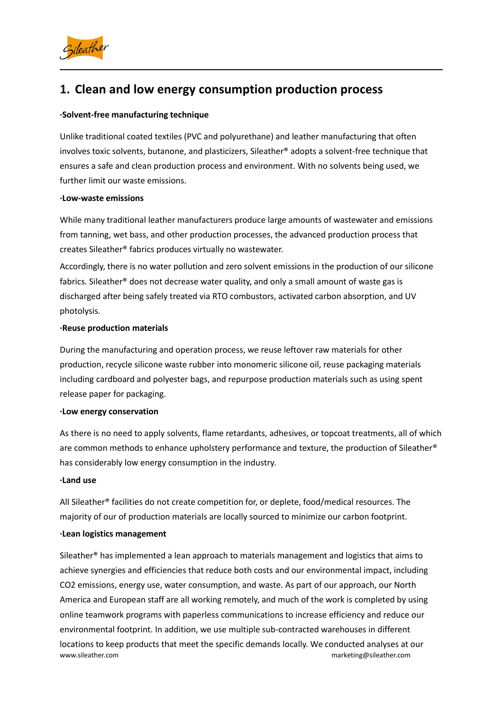

# **1. Clean and low energy consumption production process**

#### **·Solvent-free manufacturing technique**

Unlike traditional coated textiles (PVC and polyurethane) and leather manufacturing that often involves toxic solvents, butanone, and plasticizers, Sileather® adopts a solvent-free technique that ensures a safe and clean production process and environment. With no solvents being used, we further limit our waste emissions.

#### **·Low-waste emissions**

While many traditional leather manufacturers produce large amounts of wastewater and emissions from tanning, wet bass, and other production processes, the advanced production process that creates Sileather® fabrics produces virtually no wastewater.

Accordingly, there is no water pollution and zero solvent emissions in the production of our silicone fabrics. Sileather<sup>®</sup> does not decrease water quality, and only a small amount of waste gas is discharged after being safely treated via RTO combustors, activated carbon absorption, and UV photolysis.

#### **·Reuse production materials**

During the manufacturing and operation process, we reuse leftover raw materials for other production, recycle silicone waste rubber into monomeric silicone oil, reuse packaging materials including cardboard and polyester bags, and repurpose production materials such as using spent release paper for packaging.

#### **·Low energy conservation**

As there is no need to apply solvents, flame retardants, adhesives, or topcoat treatments, all of which are common methods to enhance upholstery performance and texture, the production of Sileather® has considerably low energy consumption in the industry.

#### **·Land use**

All Sileather® facilities do not create competition for, or deplete, food/medical resources. The majority of our of production materials are locally sourced to minimize our carbon footprint.

#### **·Lean logistics management**

[www.sileather.com](http://www.sileahter.com) **marketing@sileather.com** marketing@sileather.com Sileather® has implemented a lean approach to materials management and logistics that aims to achieve synergies and efficiencies that reduce both costs and our environmental impact, including CO2 emissions, energy use, water consumption, and waste. As part of our approach, our North America and European staff are all working remotely, and much of the work is completed by using online teamwork programs with paperless communications to increase efficiency and reduce our environmental footprint. In addition, we use multiple sub-contracted warehouses in different locations to keep products that meet the specific demands locally. We conducted analyses atour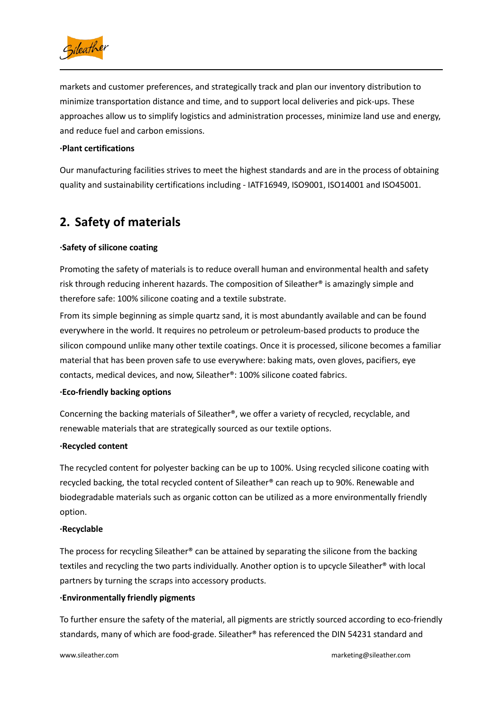

markets and customer preferences, and strategically track and plan our inventory distribution to minimize transportation distance and time, and to support local deliveries and pick-ups. These approaches allow us to simplify logistics and administration processes, minimize land use and energy, and reduce fuel and carbon emissions.

#### **·Plant certifications**

Our manufacturing facilities strives to meet the highest standards and are in the process of obtaining quality and sustainability certifications including - IATF16949, ISO9001, ISO14001 and ISO45001.

# **2. Safety of materials**

#### **·Safety of silicone coating**

Promoting the safety of materials is to reduce overall human and environmental health and safety risk through reducing inherent hazards. The composition of Sileather® is amazingly simple and therefore safe: 100% silicone coating and a textile substrate.

From its simple beginning as simple quartz sand, it is most abundantly available and can be found everywhere in the world. It requires no petroleum or petroleum-based products to produce the silicon compound unlike many other textile coatings. Once it is processed, silicone becomes a familiar material that has been proven safe to use everywhere: baking mats, oven gloves, pacifiers, eye contacts, medical devices, and now, Sileather®: 100% silicone coated fabrics.

#### **·Eco-friendly backing options**

Concerning the backing materials of Sileather®, we offer a variety of recycled, recyclable, and renewable materials that are strategically sourced as our textile options.

#### **·Recycled content**

The recycled content for polyester backing can be up to 100%. Using recycled silicone coating with recycled backing, the total recycled content of Sileather® can reach up to 90%. Renewable and biodegradable materials such as organic cotton can be utilized as a more environmentally friendly option.

#### **·Recyclable**

The process for recycling Sileather<sup>®</sup> can be attained by separating the silicone from the backing textiles and recycling the two parts individually. Another option is to upcycle Sileather® with local partners by turning the scraps into accessory products.

#### **·Environmentally friendly pigments**

To further ensure the safety of the material, all pigments are strictly sourced according to eco-friendly standards, many of which are food-grade. Sileather® has referenced the DIN 54231 standard and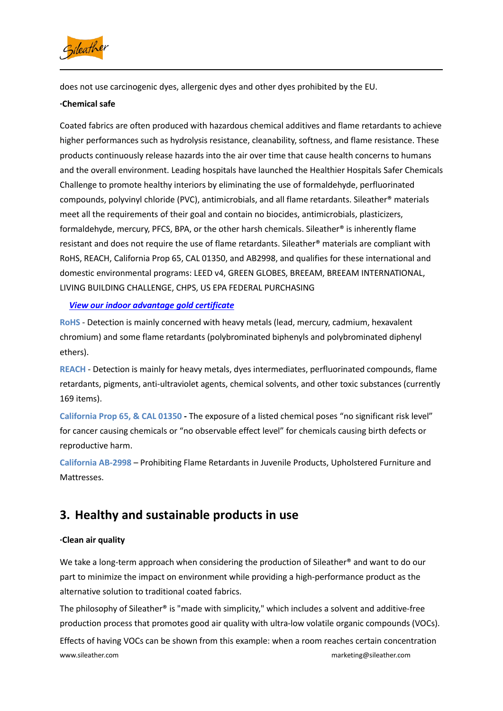

does not use carcinogenic dyes, allergenic dyes and other dyes prohibited by the EU.

#### **·Chemical safe**

Coated fabrics are often produced with hazardous chemical additives and flame retardants to achieve higher performances such as hydrolysis resistance, cleanability, softness, and flame resistance. These products continuously release hazards into the air over time that cause health concerns to humans and the overall environment. Leading hospitals have launched the Healthier Hospitals Safer Chemicals Challenge to promote healthy interiors by eliminating the use of formaldehyde, perfluorinated compounds, polyvinyl chloride (PVC), antimicrobials, and all flame retardants. Sileather® materials meet all the requirements of their goal and contain no biocides, antimicrobials, plasticizers, formaldehyde, mercury, PFCS, BPA, or the other harsh chemicals. Sileather® is inherently flame resistant and does not require the use of flame retardants. Sileather® materials are compliant with RoHS, REACH, California Prop 65, CAL 01350, and AB2998, and qualifies for these international and domestic environmental programs: LEED v4, GREEN GLOBES, BREEAM, BREEAM INTERNATIONAL, LIVING BUILDING CHALLENGE, CHPS, US EPA FEDERAL PURCHASING

### *View our indoor [advantage](https://www.scscertified.com/products/cert_pdfs/Guangzhou%20Xibo_Sileather_2021_SCS-IAQ-04475_s.pdf) gold certificate*

**RoHS** - Detection is mainly concerned with heavy metals (lead, mercury, cadmium, hexavalent chromium) and some flame retardants (polybrominated biphenyls and polybrominated diphenyl ethers).

**REACH** - Detection is mainly for heavy metals, dyes intermediates, perfluorinated compounds, flame retardants, pigments, anti-ultraviolet agents, chemical solvents, and other toxic substances (currently 169 items).

**California Prop 65, & CAL 01350 -** The exposure of a listed chemical poses "no significant risk level" for cancer causing chemicals or "no observable effect level" for chemicals causing birth defects or reproductive harm.

**California AB-2998** – Prohibiting Flame Retardants in Juvenile Products, Upholstered Furniture and Mattresses.

# **3. Healthy and sustainable products in use**

### **·Clean air quality**

We take a long-term approach when considering the production of Sileather® and want to do our part to minimize the impact on environment while providing a high-performance product as the alternative solution to traditional coated fabrics.

The philosophy of Sileather® is "made with simplicity," which includes a solvent and additive-free production process that promotes good air quality with ultra-low volatile organic compounds (VOCs).

[www.sileather.com](http://www.sileahter.com) **marketing@sileather.com** marketing@sileather.com Effects of having VOCs can be shown from this example: when a room reaches certain concentration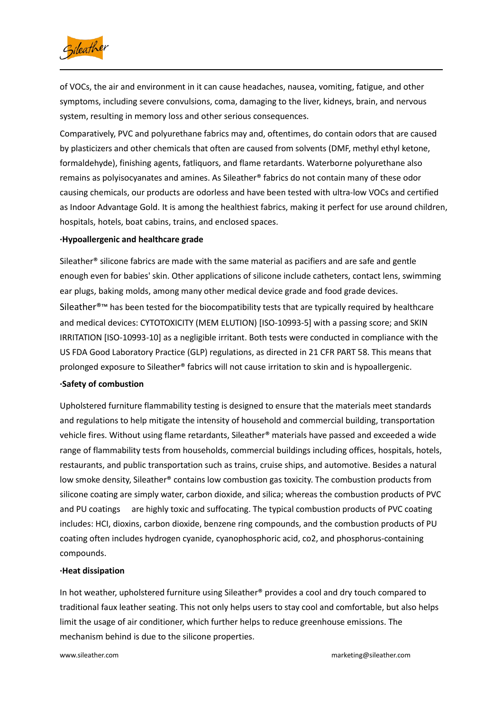

of VOCs, the air and environment in it can cause headaches, nausea, vomiting, fatigue, and other symptoms, including severe convulsions, coma, damaging to the liver, kidneys, brain, and nervous system, resulting in memory loss and other serious consequences.

Comparatively, PVC and polyurethane fabrics may and, oftentimes, do contain odorsthat are caused by plasticizers and other chemicals that often are caused from solvents (DMF, methyl ethyl ketone, formaldehyde), finishing agents, fatliquors, and flame retardants. Waterborne polyurethane also remains as polyisocyanates and amines. As Sileather® fabrics do not contain many of these odor causing chemicals, our products are odorless and have been tested with ultra-low VOCs and certified as Indoor Advantage Gold. It is among the healthiest fabrics, making it perfect for use around children, hospitals, hotels, boat cabins, trains, and enclosed spaces.

#### **·Hypoallergenic and healthcare grade**

Sileather® silicone fabrics are made with the same material as pacifiers and are safe and gentle enough even for babies' skin. Other applications of silicone include catheters, contact lens, swimming ear plugs, baking molds, among many other medical device grade and food grade devices. Sileather<sup>®™</sup> has been tested for the biocompatibility tests that are typically required by healthcare and medical devices: CYTOTOXICITY (MEM ELUTION) [ISO-10993-5] with a passing score; and SKIN IRRITATION [ISO-10993-10] as a negligible irritant. Both tests were conducted in compliance with the US FDA Good Laboratory Practice (GLP) regulations, as directed in 21 CFR PART 58. This means that prolonged exposure to Sileather® fabrics will not cause irritation to skin and ishypoallergenic.

#### **·Safety of combustion**

Upholstered furniture flammability testing is designed to ensure that the materials meet standards and regulations to help mitigate the intensity of household and commercial building, transportation vehicle fires. Without using flame retardants, Sileather® materials have passed and exceeded a wide range of flammability tests from households, commercial buildings including offices, hospitals, hotels, restaurants, and public transportation such as trains, cruise ships, and automotive. Besides a natural low smoke density, Sileather® contains low combustion gas toxicity. The combustion products from silicone coating are simply water, carbon dioxide, and silica; whereas the combustion products of PVC and PU coatings are highly toxic and suffocating. The typical combustion products of PVC coating includes: HCI, dioxins, carbon dioxide, benzene ring compounds, and the combustion products of PU coating often includes hydrogen cyanide, cyanophosphoric acid, co2, and phosphorus-containing compounds.

#### **·Heat dissipation**

In hot weather, upholstered furniture using Sileather® provides a cool and dry touch compared to traditional faux leather seating. This not only helps users to stay cool and comfortable, but also helps limit the usage of air conditioner, which further helps to reduce greenhouse emissions. The mechanism behind is due to the silicone properties.